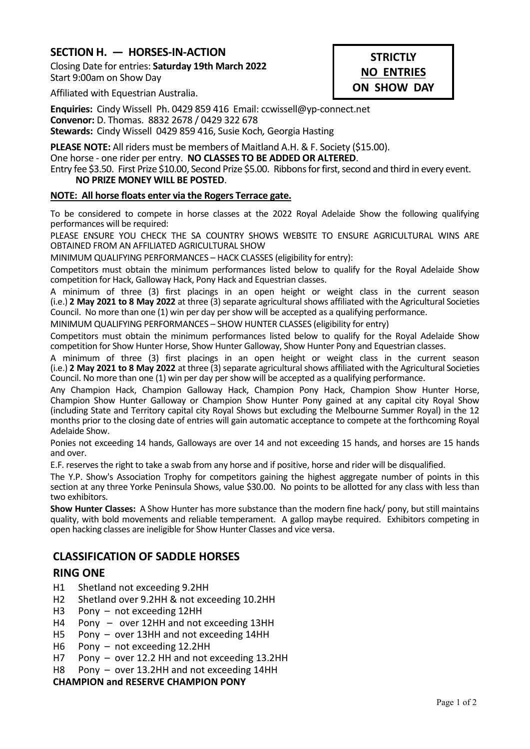# **SECTION H. — HORSES-IN-ACTION**

Closing Date for entries: **Saturday 19th March 2022** Start 9:00am on Show Day

# **STRICTLY NO ENTRIES ON SHOW DAY**

Affiliated with Equestrian Australia.

**Enquiries:** Cindy Wissell Ph. 0429 859 416 Email: ccwissell@yp-connect.net **Convenor:** D. Thomas. 8832 2678 / 0429 322 678 **Stewards:** Cindy Wissell 0429 859 416, Susie Koch*,* Georgia Hasting

**PLEASE NOTE:** All riders must be members of Maitland A.H. & F. Society (\$15.00). One horse - one rider per entry. **NO CLASSES TO BE ADDED OR ALTERED**. Entry fee \$3.50. First Prize \$10.00, Second Prize \$5.00. Ribbons for first, second and third in every event. **NO PRIZE MONEY WILL BE POSTED**.

### **NOTE: All horse floats enter via the Rogers Terrace gate.**

To be considered to compete in horse classes at the 2022 Royal Adelaide Show the following qualifying performances will be required:

PLEASE ENSURE YOU CHECK THE SA COUNTRY SHOWS WEBSITE TO ENSURE AGRICULTURAL WINS ARE OBTAINED FROM AN AFFILIATED AGRICULTURAL SHOW

MINIMUM QUALIFYING PERFORMANCES – HACK CLASSES (eligibility for entry):

Competitors must obtain the minimum performances listed below to qualify for the Royal Adelaide Show competition for Hack, Galloway Hack, Pony Hack and Equestrian classes.

A minimum of three (3) first placings in an open height or weight class in the current season (i.e.) **2 May 2021 to 8 May 2022** at three (3) separate agricultural shows affiliated with the Agricultural Societies Council. No more than one (1) win per day per show will be accepted as a qualifying performance.

MINIMUM QUALIFYING PERFORMANCES – SHOW HUNTER CLASSES (eligibility for entry)

Competitors must obtain the minimum performances listed below to qualify for the Royal Adelaide Show competition for Show Hunter Horse, Show Hunter Galloway, Show Hunter Pony and Equestrian classes.

A minimum of three (3) first placings in an open height or weight class in the current season (i.e.) **2 May 2021 to 8 May 2022** at three (3) separate agricultural shows affiliated with the Agricultural Societies Council. No more than one (1) win per day per show will be accepted as a qualifying performance.

Any Champion Hack, Champion Galloway Hack, Champion Pony Hack, Champion Show Hunter Horse, Champion Show Hunter Galloway or Champion Show Hunter Pony gained at any capital city Royal Show (including State and Territory capital city Royal Shows but excluding the Melbourne Summer Royal) in the 12 months prior to the closing date of entries will gain automatic acceptance to compete at the forthcoming Royal Adelaide Show.

Ponies not exceeding 14 hands, Galloways are over 14 and not exceeding 15 hands, and horses are 15 hands and over.

E.F. reserves the right to take a swab from any horse and if positive, horse and rider will be disqualified.

The Y.P. Show's Association Trophy for competitors gaining the highest aggregate number of points in this section at any three Yorke Peninsula Shows, value \$30.00. No points to be allotted for any class with less than two exhibitors.

**Show Hunter Classes:** A Show Hunter has more substance than the modern fine hack/ pony, but still maintains quality, with bold movements and reliable temperament. A gallop maybe required. Exhibitors competing in open hacking classes are ineligible for Show Hunter Classes and vice versa.

# **CLASSIFICATION OF SADDLE HORSES**

# **RING ONE**

- H1 Shetland not exceeding 9.2HH
- H2 Shetland over 9.2HH & not exceeding 10.2HH
- H3 Pony not exceeding 12HH
- H4 Pony over 12HH and not exceeding 13HH
- H5 Pony over 13HH and not exceeding 14HH
- H6 Pony not exceeding 12.2HH
- H7 Pony over 12.2 HH and not exceeding 13.2HH
- H8 Pony over 13.2HH and not exceeding 14HH

#### **CHAMPION and RESERVE CHAMPION PONY**